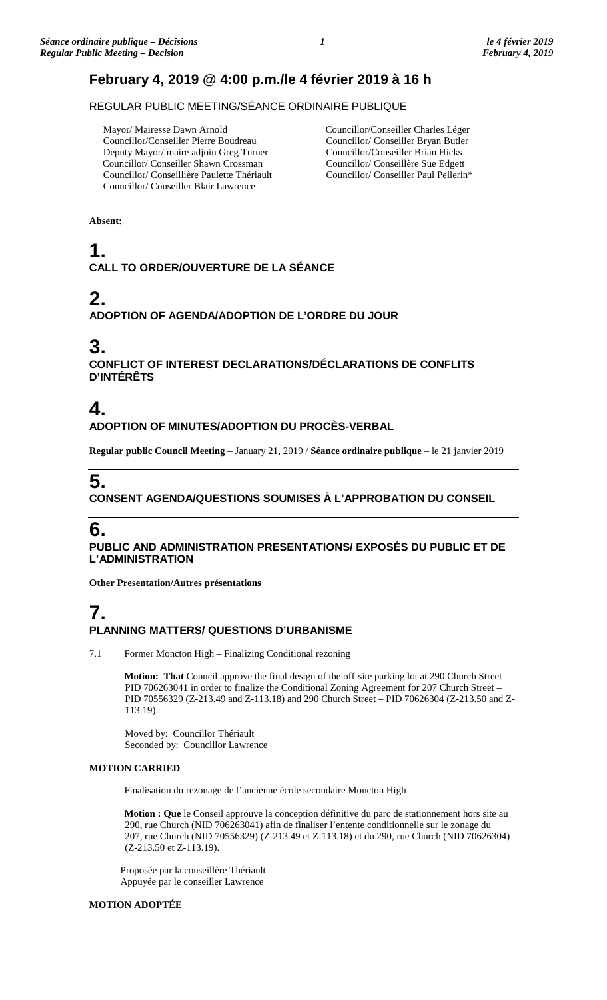### **February 4, 2019 @ 4:00 p.m./le 4 février 2019 à 16 h**

REGULAR PUBLIC MEETING/SÉANCE ORDINAIRE PUBLIQUE

 Mayor/ Mairesse Dawn Arnold Councillor/Conseiller Pierre Boudreau Deputy Mayor/ maire adjoin Greg Turner Councillor/ Conseiller Shawn Crossman Councillor/ Conseillière Paulette Thériault Councillor/ Conseiller Blair Lawrence

Councillor/Conseiller Charles Léger Councillor/ Conseiller Bryan Butler Councillor/Conseiller Brian Hicks Councillor/ Conseillère Sue Edgett Councillor/ Conseiller Paul Pellerin\*

**Absent:**

# **1. CALL TO ORDER/OUVERTURE DE LA SÉANCE**

### **2. ADOPTION OF AGENDA/ADOPTION DE L'ORDRE DU JOUR**

### **3.**

**CONFLICT OF INTEREST DECLARATIONS/DÉCLARATIONS DE CONFLITS D'INTÉRÊTS**

# **4.**

**ADOPTION OF MINUTES/ADOPTION DU PROCÈS-VERBAL**

**Regular public Council Meeting** – January 21, 2019 / **Séance ordinaire publique** – le 21 janvier 2019

# **5.**

**CONSENT AGENDA/QUESTIONS SOUMISES À L'APPROBATION DU CONSEIL**

# **6.**

**PUBLIC AND ADMINISTRATION PRESENTATIONS/ EXPOSÉS DU PUBLIC ET DE L'ADMINISTRATION**

**Other Presentation/Autres présentations**

# **7.**

### **PLANNING MATTERS/ QUESTIONS D'URBANISME**

7.1 Former Moncton High – Finalizing Conditional rezoning

**Motion: That** Council approve the final design of the off-site parking lot at 290 Church Street – PID 706263041 in order to finalize the Conditional Zoning Agreement for 207 Church Street – PID 70556329 (Z-213.49 and Z-113.18) and 290 Church Street – PID 70626304 (Z-213.50 and Z-113.19).

Moved by: Councillor Thériault Seconded by: Councillor Lawrence

### **MOTION CARRIED**

Finalisation du rezonage de l'ancienne école secondaire Moncton High

**Motion : Que** le Conseil approuve la conception définitive du parc de stationnement hors site au 290, rue Church (NID 706263041) afin de finaliser l'entente conditionnelle sur le zonage du 207, rue Church (NID 70556329) (Z-213.49 et Z-113.18) et du 290, rue Church (NID 70626304) (Z-213.50 et Z-113.19).

Proposée par la conseillère Thériault Appuyée par le conseiller Lawrence

### **MOTION ADOPTÉE**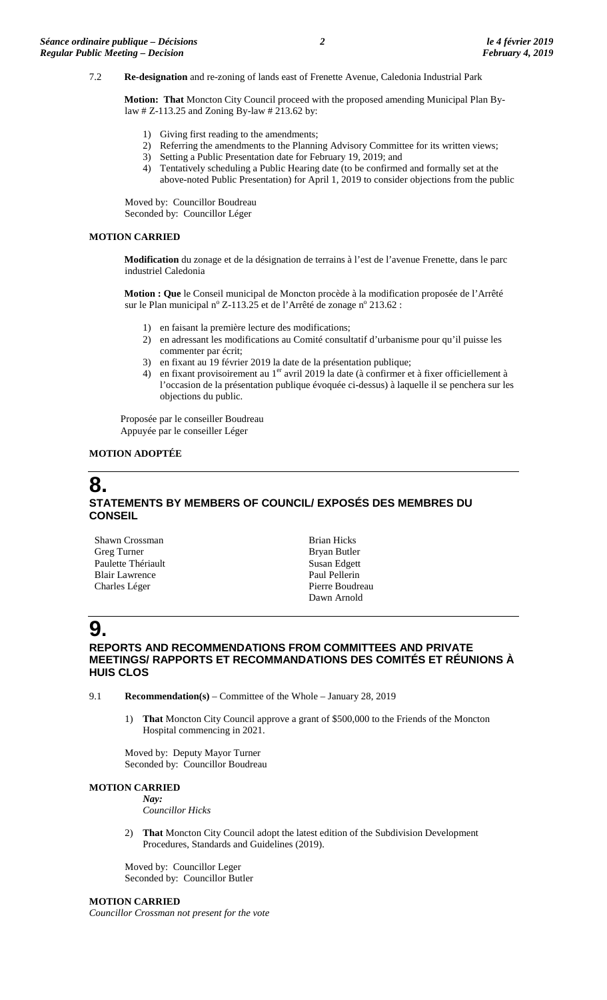#### 7.2 **Re-designation** and re-zoning of lands east of Frenette Avenue, Caledonia Industrial Park

**Motion: That** Moncton City Council proceed with the proposed amending Municipal Plan Bylaw # Z-113.25 and Zoning By-law # 213.62 by:

- 1) Giving first reading to the amendments;
- 2) Referring the amendments to the Planning Advisory Committee for its written views;
- 3) Setting a Public Presentation date for February 19, 2019; and
- 4) Tentatively scheduling a Public Hearing date (to be confirmed and formally set at the above-noted Public Presentation) for April 1, 2019 to consider objections from the public

Moved by: Councillor Boudreau Seconded by: Councillor Léger

#### **MOTION CARRIED**

**Modification** du zonage et de la désignation de terrains à l'est de l'avenue Frenette, dans le parc industriel Caledonia

**Motion : Que** le Conseil municipal de Moncton procède à la modification proposée de l'Arrêté sur le Plan municipal  $n^{\circ}$  Z-113.25 et de l'Arrêté de zonage  $n^{\circ}$  213.62 :

- 1) en faisant la première lecture des modifications;
- 2) en adressant les modifications au Comité consultatif d'urbanisme pour qu'il puisse les commenter par écrit;
- 3) en fixant au 19 février 2019 la date de la présentation publique;
- 4) en fixant provisoirement au 1<sup>er</sup> avril 2019 la date (à confirmer et à fixer officiellement à l'occasion de la présentation publique évoquée ci-dessus) à laquelle il se penchera sur les objections du public.

Proposée par le conseiller Boudreau Appuyée par le conseiller Léger

#### **MOTION ADOPTÉE**

### **8. STATEMENTS BY MEMBERS OF COUNCIL/ EXPOSÉS DES MEMBRES DU CONSEIL**

| Shawn Crossman        | <b>Brian Hicks</b> |
|-----------------------|--------------------|
| Greg Turner           | Bryan Butler       |
| Paulette Thériault    | Susan Edgett       |
| <b>Blair Lawrence</b> | Paul Pellerin      |
| Charles Léger         | Pierre Boudreau    |
|                       | Dawn Arnold        |

# **9.**

### **REPORTS AND RECOMMENDATIONS FROM COMMITTEES AND PRIVATE MEETINGS/ RAPPORTS ET RECOMMANDATIONS DES COMITÉS ET RÉUNIONS À HUIS CLOS**

9.1 **Recommendation(s)** – Committee of the Whole – January 28, 2019

1) **That** Moncton City Council approve a grant of \$500,000 to the Friends of the Moncton Hospital commencing in 2021.

Moved by: Deputy Mayor Turner Seconded by: Councillor Boudreau

#### **MOTION CARRIED**

*Nay: Councillor Hicks*

2) **That** Moncton City Council adopt the latest edition of the Subdivision Development Procedures, Standards and Guidelines (2019).

Moved by: Councillor Leger Seconded by: Councillor Butler

#### **MOTION CARRIED**

*Councillor Crossman not present for the vote*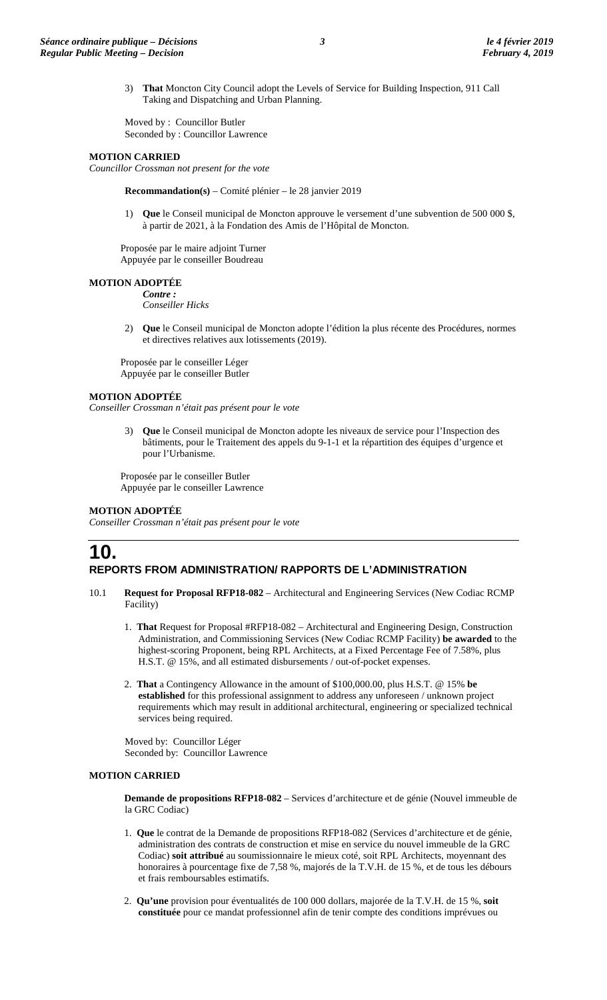3) **That** Moncton City Council adopt the Levels of Service for Building Inspection, 911 Call Taking and Dispatching and Urban Planning.

Moved by : Councillor Butler Seconded by : Councillor Lawrence

#### **MOTION CARRIED**

*Councillor Crossman not present for the vote*

**Recommandation(s)** – Comité plénier – le 28 janvier 2019

1) **Que** le Conseil municipal de Moncton approuve le versement d'une subvention de 500 000 \$, à partir de 2021, à la Fondation des Amis de l'Hôpital de Moncton.

Proposée par le maire adjoint Turner Appuyée par le conseiller Boudreau

#### **MOTION ADOPTÉE**

*Contre : Conseiller Hicks*

2) **Que** le Conseil municipal de Moncton adopte l'édition la plus récente des Procédures, normes et directives relatives aux lotissements (2019).

Proposée par le conseiller Léger Appuyée par le conseiller Butler

#### **MOTION ADOPTÉE**

*Conseiller Crossman n'était pas présent pour le vote*

3) **Que** le Conseil municipal de Moncton adopte les niveaux de service pour l'Inspection des bâtiments, pour le Traitement des appels du 9-1-1 et la répartition des équipes d'urgence et pour l'Urbanisme.

Proposée par le conseiller Butler Appuyée par le conseiller Lawrence

### **MOTION ADOPTÉE**

*Conseiller Crossman n'était pas présent pour le vote*

### **10. REPORTS FROM ADMINISTRATION/ RAPPORTS DE L'ADMINISTRATION**

- 10.1 **Request for Proposal RFP18-082** Architectural and Engineering Services (New Codiac RCMP Facility)
	- 1. **That** Request for Proposal #RFP18-082 Architectural and Engineering Design, Construction Administration, and Commissioning Services (New Codiac RCMP Facility) **be awarded** to the highest-scoring Proponent, being RPL Architects, at a Fixed Percentage Fee of 7.58%, plus H.S.T. @ 15%, and all estimated disbursements / out-of-pocket expenses.
	- 2. **That** a Contingency Allowance in the amount of \$100,000.00, plus H.S.T. @ 15% **be established** for this professional assignment to address any unforeseen / unknown project requirements which may result in additional architectural, engineering or specialized technical services being required.

Moved by: Councillor Léger Seconded by: Councillor Lawrence

#### **MOTION CARRIED**

**Demande de propositions RFP18-082** – Services d'architecture et de génie (Nouvel immeuble de la GRC Codiac)

- 1. **Que** le contrat de la Demande de propositions RFP18-082 (Services d'architecture et de génie, administration des contrats de construction et mise en service du nouvel immeuble de la GRC Codiac) **soit attribué** au soumissionnaire le mieux coté, soit RPL Architects, moyennant des honoraires à pourcentage fixe de 7,58 %, majorés de la T.V.H. de 15 %, et de tous les débours et frais remboursables estimatifs.
- 2. **Qu'une** provision pour éventualités de 100 000 dollars, majorée de la T.V.H. de 15 %, **soit constituée** pour ce mandat professionnel afin de tenir compte des conditions imprévues ou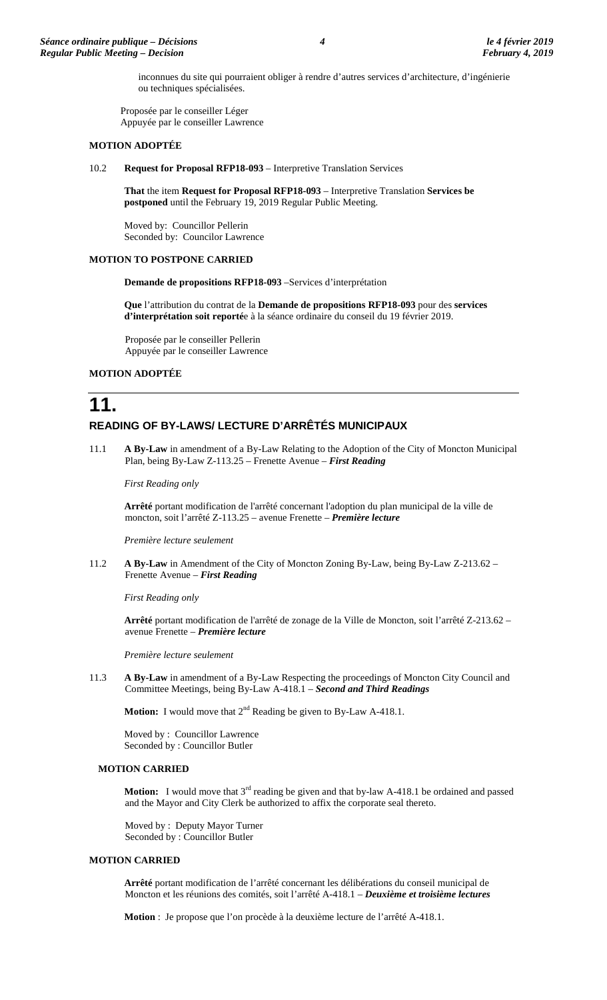inconnues du site qui pourraient obliger à rendre d'autres services d'architecture, d'ingénierie ou techniques spécialisées.

Proposée par le conseiller Léger Appuyée par le conseiller Lawrence

#### **MOTION ADOPTÉE**

10.2 **Request for Proposal RFP18-093** – Interpretive Translation Services

**That** the item **Request for Proposal RFP18-093** – Interpretive Translation **Services be postponed** until the February 19, 2019 Regular Public Meeting.

Moved by: Councillor Pellerin Seconded by: Councilor Lawrence

#### **MOTION TO POSTPONE CARRIED**

**Demande de propositions RFP18-093** –Services d'interprétation

**Que** l'attribution du contrat de la **Demande de propositions RFP18-093** pour des **services d'interprétation soit reporté**e à la séance ordinaire du conseil du 19 février 2019.

Proposée par le conseiller Pellerin Appuyée par le conseiller Lawrence

#### **MOTION ADOPTÉE**

## **11. READING OF BY-LAWS/ LECTURE D'ARRÊTÉS MUNICIPAUX**

11.1 **A By-Law** in amendment of a By-Law Relating to the Adoption of the City of Moncton Municipal Plan, being By-Law Z-113.25 – Frenette Avenue – *First Reading*

*First Reading only*

**Arrêté** portant modification de l'arrêté concernant l'adoption du plan municipal de la ville de moncton, soit l'arrêté Z-113.25 – avenue Frenette – *Première lecture*

*Première lecture seulement*

11.2 **A By-Law** in Amendment of the City of Moncton Zoning By-Law, being By-Law Z-213.62 – Frenette Avenue – *First Reading* 

*First Reading only*

**Arrêté** portant modification de l'arrêté de zonage de la Ville de Moncton, soit l'arrêté Z-213.62 – avenue Frenette – *Première lecture*

*Première lecture seulement*

11.3 **A By-Law** in amendment of a By-Law Respecting the proceedings of Moncton City Council and Committee Meetings, being By-Law A-418.1 – *Second and Third Readings*

**Motion:** I would move that  $2^{nd}$  Reading be given to By-Law A-418.1.

Moved by : Councillor Lawrence Seconded by : Councillor Butler

#### **MOTION CARRIED**

**Motion:** I would move that 3<sup>rd</sup> reading be given and that by-law A-418.1 be ordained and passed and the Mayor and City Clerk be authorized to affix the corporate seal thereto.

Moved by : Deputy Mayor Turner Seconded by : Councillor Butler

#### **MOTION CARRIED**

**Arrêté** portant modification de l'arrêté concernant les délibérations du conseil municipal de Moncton et les réunions des comités, soit l'arrêté A-418.1 – *Deuxième et troisième lectures*

**Motion** : Je propose que l'on procède à la deuxième lecture de l'arrêté A-418.1.